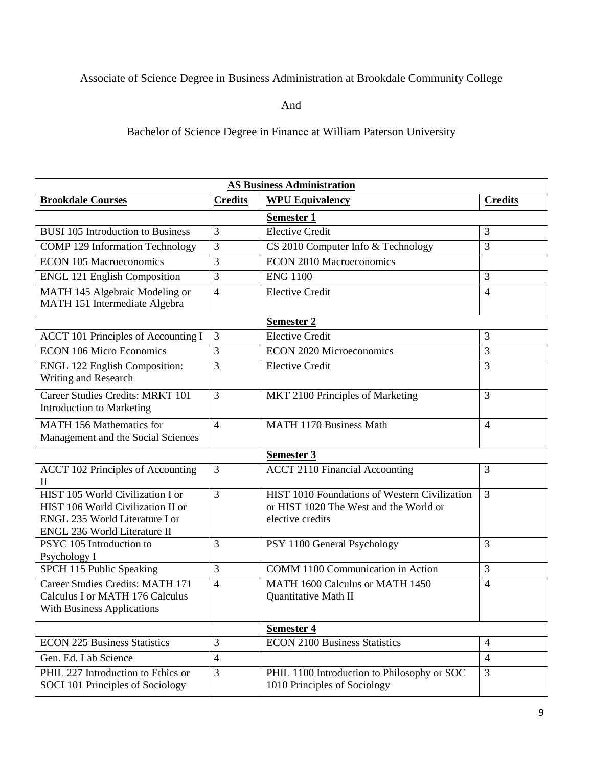## Associate of Science Degree in Business Administration at Brookdale Community College

And

Bachelor of Science Degree in Finance at William Paterson University

| <b>AS Business Administration</b>                                                                                                       |                |                                                                                                             |                |  |  |
|-----------------------------------------------------------------------------------------------------------------------------------------|----------------|-------------------------------------------------------------------------------------------------------------|----------------|--|--|
| <b>Brookdale Courses</b>                                                                                                                | <b>Credits</b> | <b>WPU Equivalency</b>                                                                                      | <b>Credits</b> |  |  |
| <b>Semester 1</b>                                                                                                                       |                |                                                                                                             |                |  |  |
| <b>BUSI 105 Introduction to Business</b>                                                                                                | 3              | <b>Elective Credit</b>                                                                                      | $\overline{3}$ |  |  |
| <b>COMP 129 Information Technology</b>                                                                                                  | 3              | CS 2010 Computer Info & Technology                                                                          | 3              |  |  |
| <b>ECON 105 Macroeconomics</b>                                                                                                          | 3              | <b>ECON 2010 Macroeconomics</b>                                                                             |                |  |  |
| <b>ENGL 121 English Composition</b>                                                                                                     | 3              | <b>ENG 1100</b>                                                                                             | 3              |  |  |
| MATH 145 Algebraic Modeling or<br>MATH 151 Intermediate Algebra                                                                         | $\overline{4}$ | <b>Elective Credit</b>                                                                                      | $\overline{4}$ |  |  |
|                                                                                                                                         |                | <b>Semester 2</b>                                                                                           |                |  |  |
| <b>ACCT 101 Principles of Accounting I</b>                                                                                              | 3              | <b>Elective Credit</b>                                                                                      | 3              |  |  |
| <b>ECON 106 Micro Economics</b>                                                                                                         | 3              | <b>ECON 2020 Microeconomics</b>                                                                             | 3              |  |  |
| <b>ENGL 122 English Composition:</b><br>Writing and Research                                                                            | 3              | <b>Elective Credit</b>                                                                                      | 3              |  |  |
| Career Studies Credits: MRKT 101<br><b>Introduction to Marketing</b>                                                                    | 3              | MKT 2100 Principles of Marketing                                                                            | 3              |  |  |
| <b>MATH 156 Mathematics for</b><br>Management and the Social Sciences                                                                   | $\overline{4}$ | MATH 1170 Business Math                                                                                     | $\overline{4}$ |  |  |
| <b>Semester 3</b>                                                                                                                       |                |                                                                                                             |                |  |  |
| <b>ACCT 102 Principles of Accounting</b><br>П                                                                                           | 3              | <b>ACCT 2110 Financial Accounting</b>                                                                       | 3              |  |  |
| HIST 105 World Civilization I or<br>HIST 106 World Civilization II or<br>ENGL 235 World Literature I or<br>ENGL 236 World Literature II | 3              | HIST 1010 Foundations of Western Civilization<br>or HIST 1020 The West and the World or<br>elective credits | $\overline{3}$ |  |  |
| PSYC 105 Introduction to<br>Psychology I                                                                                                | 3              | PSY 1100 General Psychology                                                                                 | 3              |  |  |
| SPCH 115 Public Speaking                                                                                                                | 3              | COMM 1100 Communication in Action                                                                           | 3              |  |  |
| <b>Career Studies Credits: MATH 171</b><br>Calculus I or MATH 176 Calculus<br>With Business Applications                                | $\overline{4}$ | MATH 1600 Calculus or MATH 1450<br>Quantitative Math II                                                     | $\overline{4}$ |  |  |
| Semester 4                                                                                                                              |                |                                                                                                             |                |  |  |
| <b>ECON 225 Business Statistics</b>                                                                                                     | 3              | <b>ECON 2100 Business Statistics</b>                                                                        | $\overline{4}$ |  |  |
| Gen. Ed. Lab Science                                                                                                                    | $\overline{4}$ |                                                                                                             | $\overline{4}$ |  |  |
| PHIL 227 Introduction to Ethics or<br>SOCI 101 Principles of Sociology                                                                  | 3              | PHIL 1100 Introduction to Philosophy or SOC<br>1010 Principles of Sociology                                 | 3              |  |  |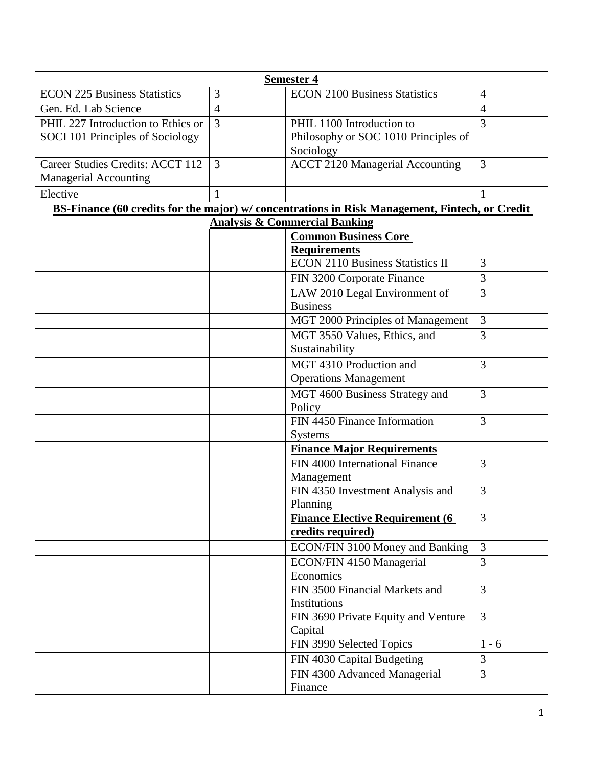| <b>Semester 4</b>                                                                              |                |                                                             |                |  |  |
|------------------------------------------------------------------------------------------------|----------------|-------------------------------------------------------------|----------------|--|--|
| <b>ECON 225 Business Statistics</b>                                                            | 3              | <b>ECON 2100 Business Statistics</b>                        | $\overline{4}$ |  |  |
| Gen. Ed. Lab Science                                                                           | $\overline{4}$ |                                                             | $\overline{4}$ |  |  |
| PHIL 227 Introduction to Ethics or                                                             | $\overline{3}$ | PHIL 1100 Introduction to                                   | 3              |  |  |
| SOCI 101 Principles of Sociology                                                               |                | Philosophy or SOC 1010 Principles of                        |                |  |  |
|                                                                                                |                | Sociology                                                   |                |  |  |
| Career Studies Credits: ACCT 112                                                               | 3              | <b>ACCT 2120 Managerial Accounting</b>                      | 3              |  |  |
| <b>Managerial Accounting</b>                                                                   |                |                                                             |                |  |  |
| Elective                                                                                       | 1              |                                                             | 1              |  |  |
| BS-Finance (60 credits for the major) w/ concentrations in Risk Management, Fintech, or Credit |                |                                                             |                |  |  |
|                                                                                                |                | <b>Analysis &amp; Commercial Banking</b>                    |                |  |  |
|                                                                                                |                | <b>Common Business Core</b><br><b>Requirements</b>          |                |  |  |
|                                                                                                |                | <b>ECON 2110 Business Statistics II</b>                     | 3              |  |  |
|                                                                                                |                | FIN 3200 Corporate Finance                                  | 3              |  |  |
|                                                                                                |                | LAW 2010 Legal Environment of                               | 3              |  |  |
|                                                                                                |                | <b>Business</b>                                             |                |  |  |
|                                                                                                |                | MGT 2000 Principles of Management                           | 3              |  |  |
|                                                                                                |                | MGT 3550 Values, Ethics, and                                | $\overline{3}$ |  |  |
|                                                                                                |                | Sustainability                                              |                |  |  |
|                                                                                                |                | MGT 4310 Production and                                     | 3              |  |  |
|                                                                                                |                | <b>Operations Management</b>                                |                |  |  |
|                                                                                                |                | MGT 4600 Business Strategy and                              | 3              |  |  |
|                                                                                                |                | Policy                                                      |                |  |  |
|                                                                                                |                | FIN 4450 Finance Information                                | 3              |  |  |
|                                                                                                |                | <b>Systems</b>                                              |                |  |  |
|                                                                                                |                | <b>Finance Major Requirements</b>                           |                |  |  |
|                                                                                                |                | FIN 4000 International Finance                              | 3              |  |  |
|                                                                                                |                | Management                                                  |                |  |  |
|                                                                                                |                | FIN 4350 Investment Analysis and                            | 3              |  |  |
|                                                                                                |                | Planning                                                    |                |  |  |
|                                                                                                |                | <b>Finance Elective Requirement (6</b><br>credits required) | 3              |  |  |
|                                                                                                |                |                                                             | 3              |  |  |
|                                                                                                |                | ECON/FIN 3100 Money and Banking                             | 3              |  |  |
|                                                                                                |                | ECON/FIN 4150 Managerial<br>Economics                       |                |  |  |
|                                                                                                |                | FIN 3500 Financial Markets and                              | 3              |  |  |
|                                                                                                |                | Institutions                                                |                |  |  |
|                                                                                                |                | FIN 3690 Private Equity and Venture                         | 3              |  |  |
|                                                                                                |                | Capital                                                     |                |  |  |
|                                                                                                |                | FIN 3990 Selected Topics                                    | $1 - 6$        |  |  |
|                                                                                                |                | FIN 4030 Capital Budgeting                                  | 3              |  |  |
|                                                                                                |                | FIN 4300 Advanced Managerial                                | $\overline{3}$ |  |  |
|                                                                                                |                | Finance                                                     |                |  |  |